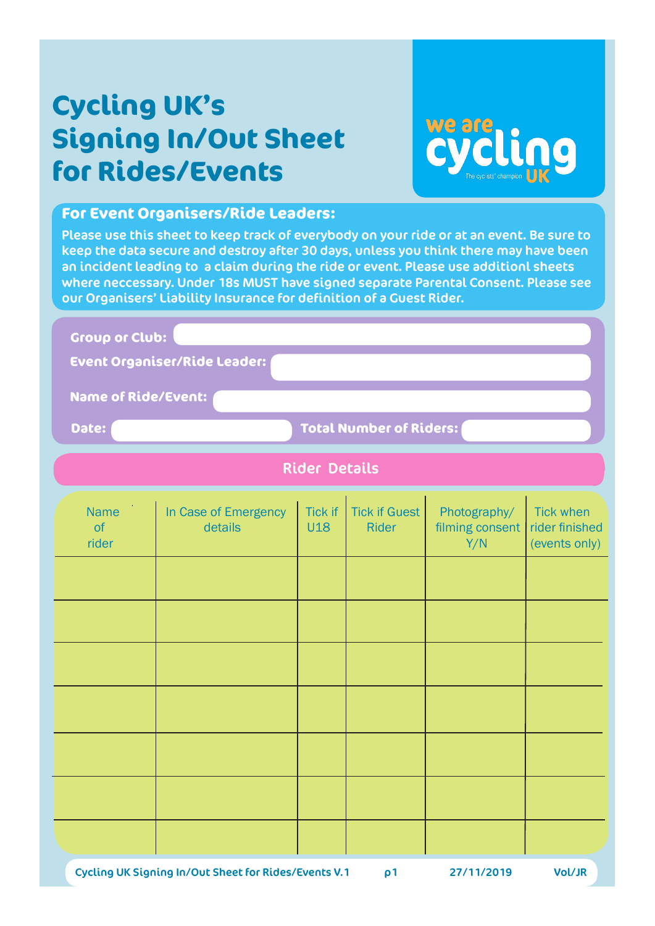# **Cycling UK's Signing In/Out Sheet for Rides/Events**



#### **For Event Organisers/Ride Leaders:**

Please use this sheet to keep track of everybody on your ride or at an event. Be sure to keep the data secure and destroy after 30 days, unless you think there may have been an incident leading to a claim during the ride or event. Please use additionl sheets where neccessary. Under 18s MUST have signed separate Parental Consent. Please see our Organisers' Liability Insurance for definition of a Guest Rider.

Name In Case of Emergency Tick if Tick if Guest Photography/ Tick when<br>
of details 1118 Rider filming consent rider finish of details U18 Rider filming consent rider finished **Group or Club: Event Organiser/Ride Leader: Name of Ride/Event: Date: Total Number of Riders:**  Rider Details

| $\sim$ $\sim$ $\sim$<br>rider | $\sim$ $\sim$ $\sim$ $\sim$ $\sim$ | $\cdots$ $\cdots$ | Y/N | $\cdot$ . $\cdot$<br>- ………<br>(events only) |
|-------------------------------|------------------------------------|-------------------|-----|---------------------------------------------|
|                               |                                    |                   |     |                                             |
|                               |                                    |                   |     |                                             |
|                               |                                    |                   |     |                                             |
|                               |                                    |                   |     |                                             |
|                               |                                    |                   |     |                                             |
|                               |                                    |                   |     |                                             |
|                               |                                    |                   |     |                                             |